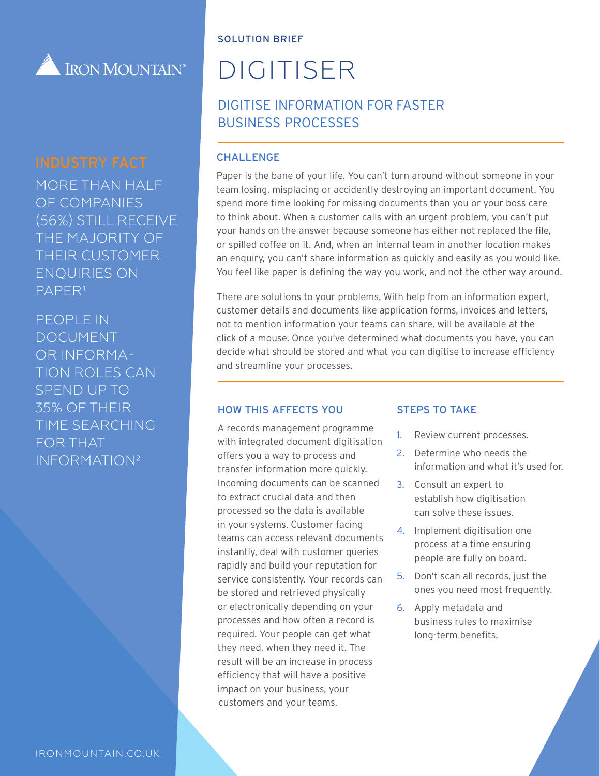

## INDUSTRY FACT

MORE THAN HALF OF COMPANIES (56%) STILL RECEIVE THE MAJORITY OF THEIR CUSTOMER ENQUIRIES ON

PEOPLE IN DOCUMENT OR INFORMA-TION ROLES CAN SPEND UP TO 35% OF THEIR TIME SEARCHING FOR THAT INFORMATION²

PAPER<sup>1</sup>

IRONMOUNTAIN.CO.UK

#### SOLUTION BRIEF

# DIGITISER

## DIGITISE INFORMATION FOR FASTER BUSINESS PROCESSES

#### **CHALLENGE**

Paper is the bane of your life. You can't turn around without someone in your team losing, misplacing or accidently destroying an important document. You spend more time looking for missing documents than you or your boss care to think about. When a customer calls with an urgent problem, you can't put your hands on the answer because someone has either not replaced the file, or spilled coffee on it. And, when an internal team in another location makes an enquiry, you can't share information as quickly and easily as you would like. You feel like paper is defining the way you work, and not the other way around.

There are solutions to your problems. With help from an information expert, customer details and documents like application forms, invoices and letters, not to mention information your teams can share, will be available at the click of a mouse. Once you've determined what documents you have, you can decide what should be stored and what you can digitise to increase efficiency and streamline your processes.

#### HOW THIS AFFECTS YOU

A records management programme with integrated document digitisation offers you a way to process and transfer information more quickly. Incoming documents can be scanned to extract crucial data and then processed so the data is available in your systems. Customer facing teams can access relevant documents instantly, deal with customer queries rapidly and build your reputation for service consistently. Your records can be stored and retrieved physically or electronically depending on your processes and how often a record is required. Your people can get what they need, when they need it. The result will be an increase in process efficiency that will have a positive impact on your business, your customers and your teams.

#### STEPS TO TAKE

- 1. Review current processes.
- 2. Determine who needs the information and what it's used for.
- 3. Consult an expert to establish how digitisation can solve these issues.
- 4. Implement digitisation one process at a time ensuring people are fully on board.
- 5. Don't scan all records, just the ones you need most frequently.
- 6. Apply metadata and business rules to maximise long-term benefits.